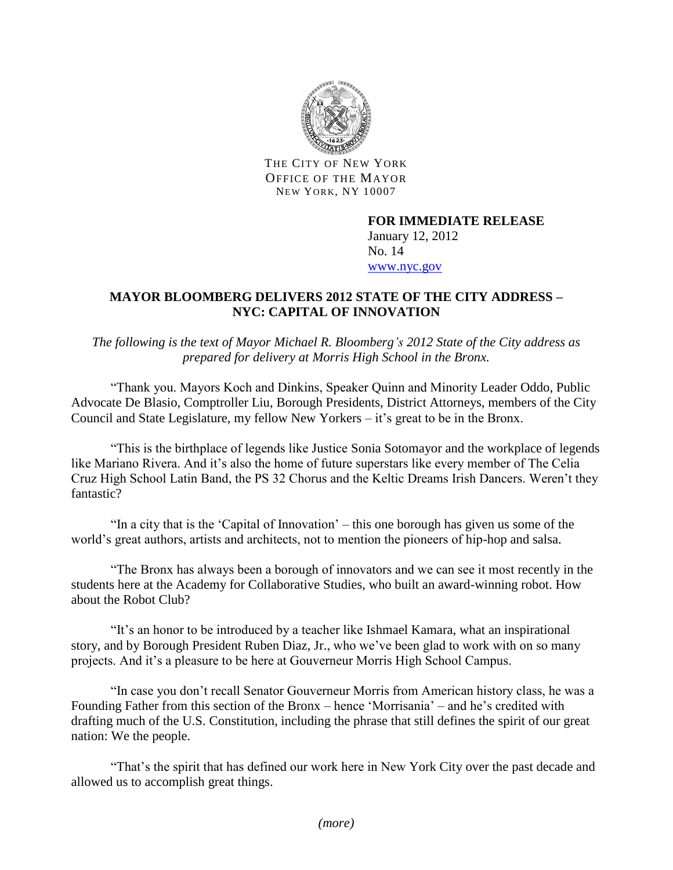

THE CITY OF NEW YORK OFFICE OF THE MAYOR NEW YORK, NY 10007

## **FOR IMMEDIATE RELEASE** January 12, 2012 No. 14 [www.nyc.gov](http://www.nyc.gov/)

## **MAYOR BLOOMBERG DELIVERS 2012 STATE OF THE CITY ADDRESS – NYC: CAPITAL OF INNOVATION**

*The following is the text of Mayor Michael R. Bloomberg's 2012 State of the City address as prepared for delivery at Morris High School in the Bronx.* 

"Thank you. Mayors Koch and Dinkins, Speaker Quinn and Minority Leader Oddo, Public Advocate De Blasio, Comptroller Liu, Borough Presidents, District Attorneys, members of the City Council and State Legislature, my fellow New Yorkers – it's great to be in the Bronx.

"This is the birthplace of legends like Justice Sonia Sotomayor and the workplace of legends like Mariano Rivera. And it's also the home of future superstars like every member of The Celia Cruz High School Latin Band, the PS 32 Chorus and the Keltic Dreams Irish Dancers. Weren't they fantastic?

"In a city that is the 'Capital of Innovation' – this one borough has given us some of the world's great authors, artists and architects, not to mention the pioneers of hip-hop and salsa.

"The Bronx has always been a borough of innovators and we can see it most recently in the students here at the Academy for Collaborative Studies, who built an award-winning robot. How about the Robot Club?

"It's an honor to be introduced by a teacher like Ishmael Kamara, what an inspirational story, and by Borough President Ruben Diaz, Jr., who we've been glad to work with on so many projects. And it's a pleasure to be here at Gouverneur Morris High School Campus.

"In case you don't recall Senator Gouverneur Morris from American history class, he was a Founding Father from this section of the Bronx – hence 'Morrisania' – and he's credited with drafting much of the U.S. Constitution, including the phrase that still defines the spirit of our great nation: We the people.

"That's the spirit that has defined our work here in New York City over the past decade and allowed us to accomplish great things.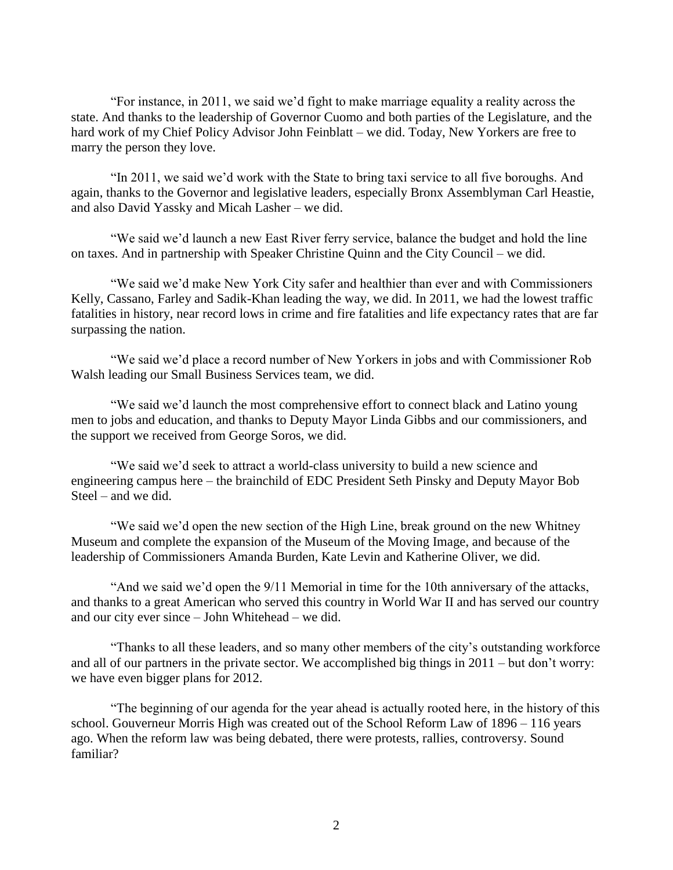"For instance, in 2011, we said we'd fight to make marriage equality a reality across the state. And thanks to the leadership of Governor Cuomo and both parties of the Legislature, and the hard work of my Chief Policy Advisor John Feinblatt – we did. Today, New Yorkers are free to marry the person they love.

"In 2011, we said we'd work with the State to bring taxi service to all five boroughs. And again, thanks to the Governor and legislative leaders, especially Bronx Assemblyman Carl Heastie, and also David Yassky and Micah Lasher – we did.

"We said we'd launch a new East River ferry service, balance the budget and hold the line on taxes. And in partnership with Speaker Christine Quinn and the City Council – we did.

"We said we'd make New York City safer and healthier than ever and with Commissioners Kelly, Cassano, Farley and Sadik-Khan leading the way, we did. In 2011, we had the lowest traffic fatalities in history, near record lows in crime and fire fatalities and life expectancy rates that are far surpassing the nation.

"We said we'd place a record number of New Yorkers in jobs and with Commissioner Rob Walsh leading our Small Business Services team, we did.

"We said we'd launch the most comprehensive effort to connect black and Latino young men to jobs and education, and thanks to Deputy Mayor Linda Gibbs and our commissioners, and the support we received from George Soros, we did.

"We said we'd seek to attract a world-class university to build a new science and engineering campus here – the brainchild of EDC President Seth Pinsky and Deputy Mayor Bob Steel – and we did.

"We said we'd open the new section of the High Line, break ground on the new Whitney Museum and complete the expansion of the Museum of the Moving Image, and because of the leadership of Commissioners Amanda Burden, Kate Levin and Katherine Oliver, we did.

"And we said we'd open the 9/11 Memorial in time for the 10th anniversary of the attacks, and thanks to a great American who served this country in World War II and has served our country and our city ever since – John Whitehead – we did.

"Thanks to all these leaders, and so many other members of the city's outstanding workforce and all of our partners in the private sector. We accomplished big things in 2011 – but don't worry: we have even bigger plans for 2012.

"The beginning of our agenda for the year ahead is actually rooted here, in the history of this school. Gouverneur Morris High was created out of the School Reform Law of 1896 – 116 years ago. When the reform law was being debated, there were protests, rallies, controversy. Sound familiar?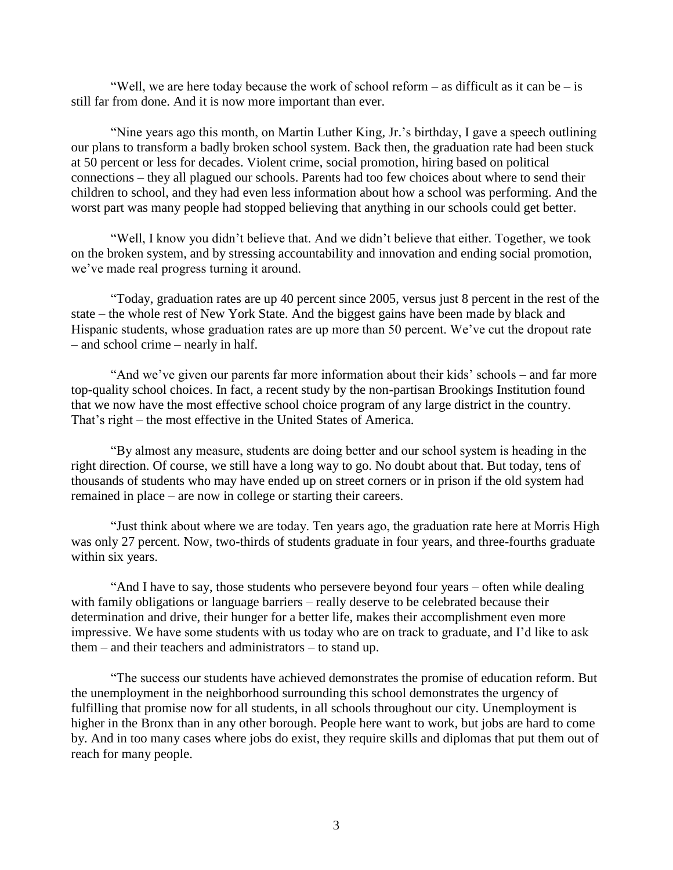"Well, we are here today because the work of school reform – as difficult as it can be – is still far from done. And it is now more important than ever.

"Nine years ago this month, on Martin Luther King, Jr.'s birthday, I gave a speech outlining our plans to transform a badly broken school system. Back then, the graduation rate had been stuck at 50 percent or less for decades. Violent crime, social promotion, hiring based on political connections – they all plagued our schools. Parents had too few choices about where to send their children to school, and they had even less information about how a school was performing. And the worst part was many people had stopped believing that anything in our schools could get better.

"Well, I know you didn't believe that. And we didn't believe that either. Together, we took on the broken system, and by stressing accountability and innovation and ending social promotion, we've made real progress turning it around.

"Today, graduation rates are up 40 percent since 2005, versus just 8 percent in the rest of the state – the whole rest of New York State. And the biggest gains have been made by black and Hispanic students, whose graduation rates are up more than 50 percent. We've cut the dropout rate – and school crime – nearly in half.

"And we've given our parents far more information about their kids' schools – and far more top-quality school choices. In fact, a recent study by the non-partisan Brookings Institution found that we now have the most effective school choice program of any large district in the country. That's right – the most effective in the United States of America.

"By almost any measure, students are doing better and our school system is heading in the right direction. Of course, we still have a long way to go. No doubt about that. But today, tens of thousands of students who may have ended up on street corners or in prison if the old system had remained in place – are now in college or starting their careers.

"Just think about where we are today. Ten years ago, the graduation rate here at Morris High was only 27 percent. Now, two-thirds of students graduate in four years, and three-fourths graduate within six years.

"And I have to say, those students who persevere beyond four years – often while dealing with family obligations or language barriers – really deserve to be celebrated because their determination and drive, their hunger for a better life, makes their accomplishment even more impressive. We have some students with us today who are on track to graduate, and I'd like to ask them – and their teachers and administrators – to stand up.

"The success our students have achieved demonstrates the promise of education reform. But the unemployment in the neighborhood surrounding this school demonstrates the urgency of fulfilling that promise now for all students, in all schools throughout our city. Unemployment is higher in the Bronx than in any other borough. People here want to work, but jobs are hard to come by. And in too many cases where jobs do exist, they require skills and diplomas that put them out of reach for many people.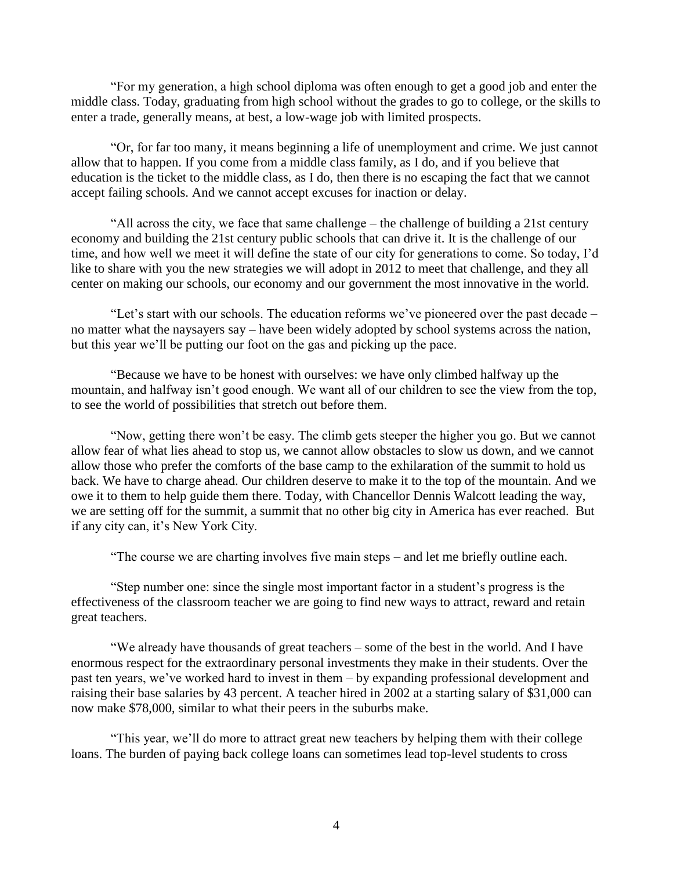"For my generation, a high school diploma was often enough to get a good job and enter the middle class. Today, graduating from high school without the grades to go to college, or the skills to enter a trade, generally means, at best, a low-wage job with limited prospects.

"Or, for far too many, it means beginning a life of unemployment and crime. We just cannot allow that to happen. If you come from a middle class family, as I do, and if you believe that education is the ticket to the middle class, as I do, then there is no escaping the fact that we cannot accept failing schools. And we cannot accept excuses for inaction or delay.

"All across the city, we face that same challenge – the challenge of building a 21st century economy and building the 21st century public schools that can drive it. It is the challenge of our time, and how well we meet it will define the state of our city for generations to come. So today, I'd like to share with you the new strategies we will adopt in 2012 to meet that challenge, and they all center on making our schools, our economy and our government the most innovative in the world.

"Let's start with our schools. The education reforms we've pioneered over the past decade – no matter what the naysayers say – have been widely adopted by school systems across the nation, but this year we'll be putting our foot on the gas and picking up the pace.

"Because we have to be honest with ourselves: we have only climbed halfway up the mountain, and halfway isn't good enough. We want all of our children to see the view from the top, to see the world of possibilities that stretch out before them.

"Now, getting there won't be easy. The climb gets steeper the higher you go. But we cannot allow fear of what lies ahead to stop us, we cannot allow obstacles to slow us down, and we cannot allow those who prefer the comforts of the base camp to the exhilaration of the summit to hold us back. We have to charge ahead. Our children deserve to make it to the top of the mountain. And we owe it to them to help guide them there. Today, with Chancellor Dennis Walcott leading the way, we are setting off for the summit, a summit that no other big city in America has ever reached. But if any city can, it's New York City.

"The course we are charting involves five main steps – and let me briefly outline each.

"Step number one: since the single most important factor in a student's progress is the effectiveness of the classroom teacher we are going to find new ways to attract, reward and retain great teachers.

"We already have thousands of great teachers – some of the best in the world. And I have enormous respect for the extraordinary personal investments they make in their students. Over the past ten years, we've worked hard to invest in them – by expanding professional development and raising their base salaries by 43 percent. A teacher hired in 2002 at a starting salary of \$31,000 can now make \$78,000, similar to what their peers in the suburbs make.

"This year, we'll do more to attract great new teachers by helping them with their college loans. The burden of paying back college loans can sometimes lead top-level students to cross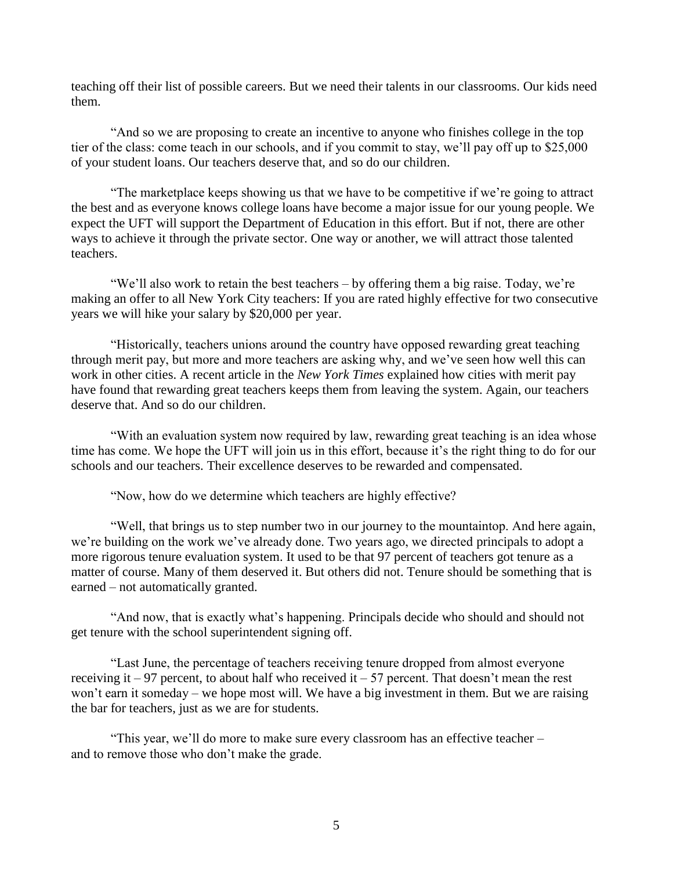teaching off their list of possible careers. But we need their talents in our classrooms. Our kids need them.

"And so we are proposing to create an incentive to anyone who finishes college in the top tier of the class: come teach in our schools, and if you commit to stay, we'll pay off up to \$25,000 of your student loans. Our teachers deserve that, and so do our children.

"The marketplace keeps showing us that we have to be competitive if we're going to attract the best and as everyone knows college loans have become a major issue for our young people. We expect the UFT will support the Department of Education in this effort. But if not, there are other ways to achieve it through the private sector. One way or another, we will attract those talented teachers.

"We'll also work to retain the best teachers – by offering them a big raise. Today, we're making an offer to all New York City teachers: If you are rated highly effective for two consecutive years we will hike your salary by \$20,000 per year.

"Historically, teachers unions around the country have opposed rewarding great teaching through merit pay, but more and more teachers are asking why, and we've seen how well this can work in other cities. A recent article in the *New York Times* explained how cities with merit pay have found that rewarding great teachers keeps them from leaving the system. Again, our teachers deserve that. And so do our children.

"With an evaluation system now required by law, rewarding great teaching is an idea whose time has come. We hope the UFT will join us in this effort, because it's the right thing to do for our schools and our teachers. Their excellence deserves to be rewarded and compensated.

"Now, how do we determine which teachers are highly effective?

"Well, that brings us to step number two in our journey to the mountaintop. And here again, we're building on the work we've already done. Two years ago, we directed principals to adopt a more rigorous tenure evaluation system. It used to be that 97 percent of teachers got tenure as a matter of course. Many of them deserved it. But others did not. Tenure should be something that is earned – not automatically granted.

"And now, that is exactly what's happening. Principals decide who should and should not get tenure with the school superintendent signing off.

"Last June, the percentage of teachers receiving tenure dropped from almost everyone receiving it – 97 percent, to about half who received it – 57 percent. That doesn't mean the rest won't earn it someday – we hope most will. We have a big investment in them. But we are raising the bar for teachers, just as we are for students.

"This year, we'll do more to make sure every classroom has an effective teacher – and to remove those who don't make the grade.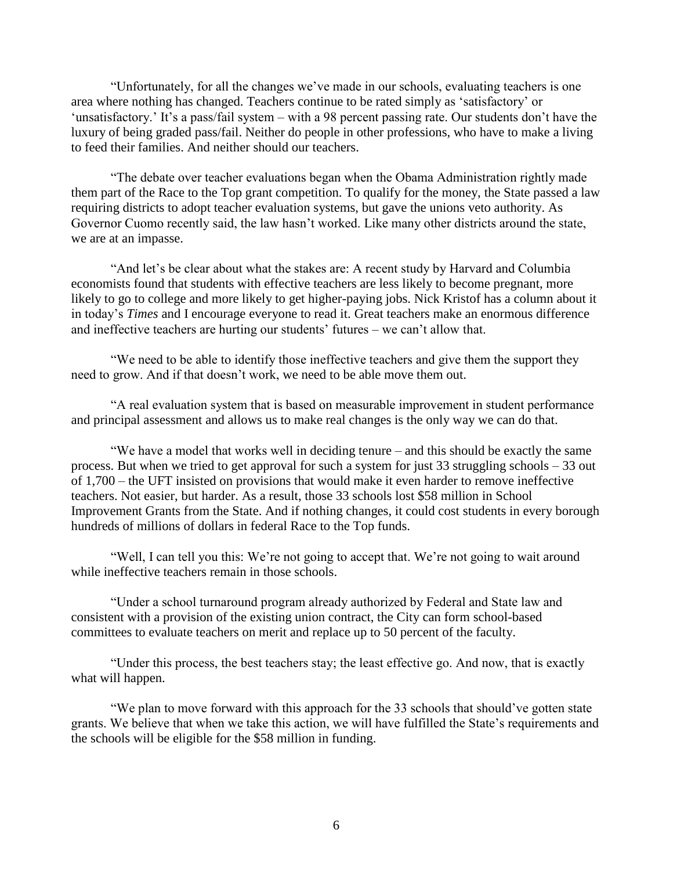"Unfortunately, for all the changes we've made in our schools, evaluating teachers is one area where nothing has changed. Teachers continue to be rated simply as 'satisfactory' or 'unsatisfactory.' It's a pass/fail system – with a 98 percent passing rate. Our students don't have the luxury of being graded pass/fail. Neither do people in other professions, who have to make a living to feed their families. And neither should our teachers.

"The debate over teacher evaluations began when the Obama Administration rightly made them part of the Race to the Top grant competition. To qualify for the money, the State passed a law requiring districts to adopt teacher evaluation systems, but gave the unions veto authority. As Governor Cuomo recently said, the law hasn't worked. Like many other districts around the state, we are at an impasse.

"And let's be clear about what the stakes are: A recent study by Harvard and Columbia economists found that students with effective teachers are less likely to become pregnant, more likely to go to college and more likely to get higher-paying jobs. Nick Kristof has a column about it in today's *Times* and I encourage everyone to read it. Great teachers make an enormous difference and ineffective teachers are hurting our students' futures – we can't allow that.

"We need to be able to identify those ineffective teachers and give them the support they need to grow. And if that doesn't work, we need to be able move them out.

"A real evaluation system that is based on measurable improvement in student performance and principal assessment and allows us to make real changes is the only way we can do that.

"We have a model that works well in deciding tenure – and this should be exactly the same process. But when we tried to get approval for such a system for just 33 struggling schools – 33 out of 1,700 – the UFT insisted on provisions that would make it even harder to remove ineffective teachers. Not easier, but harder. As a result, those 33 schools lost \$58 million in School Improvement Grants from the State. And if nothing changes, it could cost students in every borough hundreds of millions of dollars in federal Race to the Top funds.

"Well, I can tell you this: We're not going to accept that. We're not going to wait around while ineffective teachers remain in those schools.

"Under a school turnaround program already authorized by Federal and State law and consistent with a provision of the existing union contract, the City can form school-based committees to evaluate teachers on merit and replace up to 50 percent of the faculty.

"Under this process, the best teachers stay; the least effective go. And now, that is exactly what will happen.

"We plan to move forward with this approach for the 33 schools that should've gotten state grants. We believe that when we take this action, we will have fulfilled the State's requirements and the schools will be eligible for the \$58 million in funding.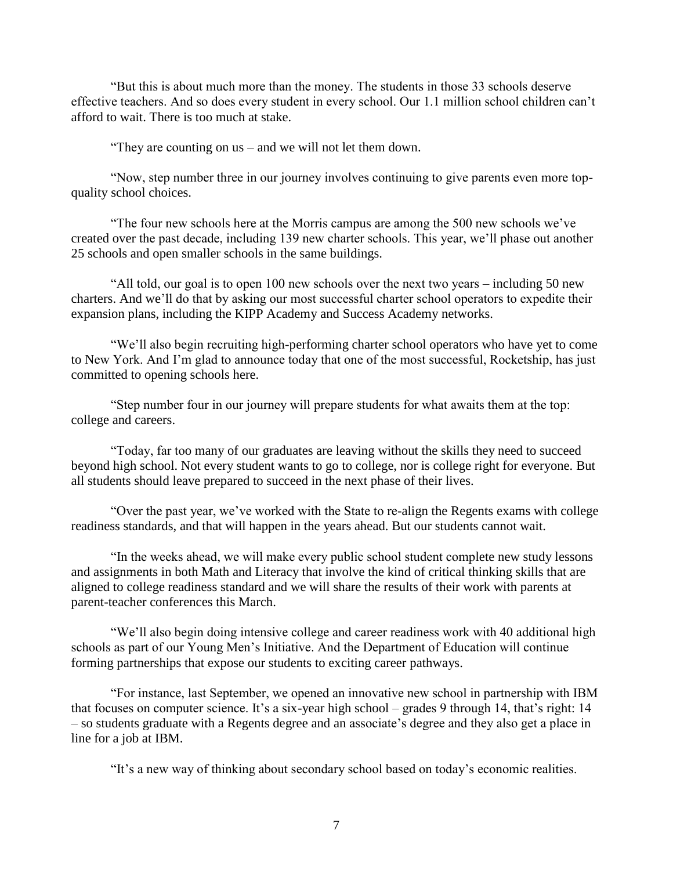"But this is about much more than the money. The students in those 33 schools deserve effective teachers. And so does every student in every school. Our 1.1 million school children can't afford to wait. There is too much at stake.

"They are counting on us – and we will not let them down.

"Now, step number three in our journey involves continuing to give parents even more topquality school choices.

"The four new schools here at the Morris campus are among the 500 new schools we've created over the past decade, including 139 new charter schools. This year, we'll phase out another 25 schools and open smaller schools in the same buildings.

"All told, our goal is to open 100 new schools over the next two years – including 50 new charters. And we'll do that by asking our most successful charter school operators to expedite their expansion plans, including the KIPP Academy and Success Academy networks.

"We'll also begin recruiting high-performing charter school operators who have yet to come to New York. And I'm glad to announce today that one of the most successful, Rocketship, has just committed to opening schools here.

"Step number four in our journey will prepare students for what awaits them at the top: college and careers.

"Today, far too many of our graduates are leaving without the skills they need to succeed beyond high school. Not every student wants to go to college, nor is college right for everyone. But all students should leave prepared to succeed in the next phase of their lives.

"Over the past year, we've worked with the State to re-align the Regents exams with college readiness standards, and that will happen in the years ahead. But our students cannot wait.

"In the weeks ahead, we will make every public school student complete new study lessons and assignments in both Math and Literacy that involve the kind of critical thinking skills that are aligned to college readiness standard and we will share the results of their work with parents at parent-teacher conferences this March.

"We'll also begin doing intensive college and career readiness work with 40 additional high schools as part of our Young Men's Initiative. And the Department of Education will continue forming partnerships that expose our students to exciting career pathways.

"For instance, last September, we opened an innovative new school in partnership with IBM that focuses on computer science. It's a six-year high school – grades 9 through 14, that's right: 14 – so students graduate with a Regents degree and an associate's degree and they also get a place in line for a job at IBM.

"It's a new way of thinking about secondary school based on today's economic realities.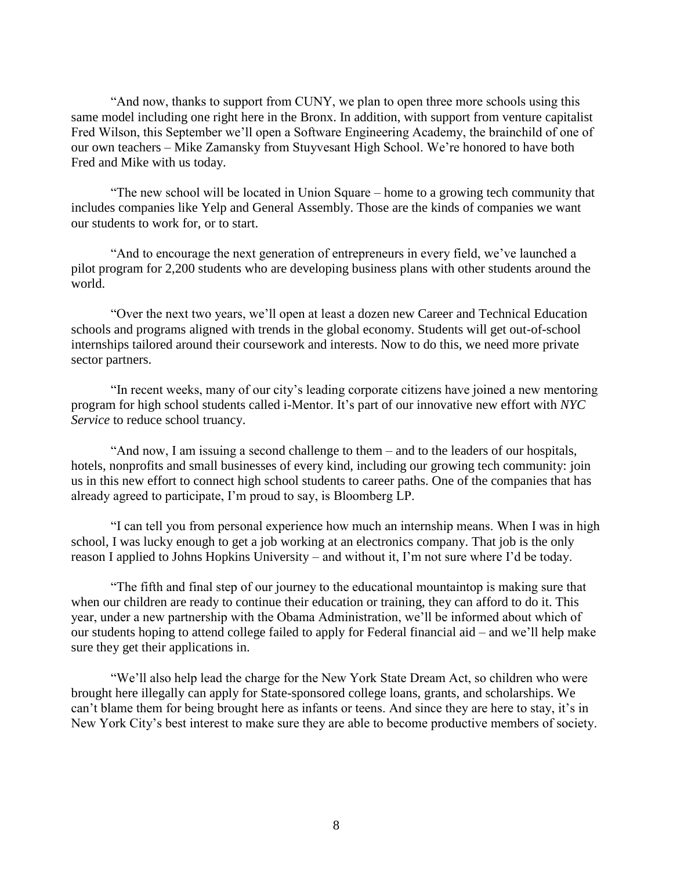"And now, thanks to support from CUNY, we plan to open three more schools using this same model including one right here in the Bronx. In addition, with support from venture capitalist Fred Wilson, this September we'll open a Software Engineering Academy, the brainchild of one of our own teachers – Mike Zamansky from Stuyvesant High School. We're honored to have both Fred and Mike with us today.

"The new school will be located in Union Square – home to a growing tech community that includes companies like Yelp and General Assembly. Those are the kinds of companies we want our students to work for, or to start.

"And to encourage the next generation of entrepreneurs in every field, we've launched a pilot program for 2,200 students who are developing business plans with other students around the world.

"Over the next two years, we'll open at least a dozen new Career and Technical Education schools and programs aligned with trends in the global economy. Students will get out-of-school internships tailored around their coursework and interests. Now to do this, we need more private sector partners.

"In recent weeks, many of our city's leading corporate citizens have joined a new mentoring program for high school students called i-Mentor. It's part of our innovative new effort with *NYC Service* to reduce school truancy.

"And now, I am issuing a second challenge to them – and to the leaders of our hospitals, hotels, nonprofits and small businesses of every kind, including our growing tech community: join us in this new effort to connect high school students to career paths. One of the companies that has already agreed to participate, I'm proud to say, is Bloomberg LP.

"I can tell you from personal experience how much an internship means. When I was in high school, I was lucky enough to get a job working at an electronics company. That job is the only reason I applied to Johns Hopkins University – and without it, I'm not sure where I'd be today.

"The fifth and final step of our journey to the educational mountaintop is making sure that when our children are ready to continue their education or training, they can afford to do it. This year, under a new partnership with the Obama Administration, we'll be informed about which of our students hoping to attend college failed to apply for Federal financial aid – and we'll help make sure they get their applications in.

"We'll also help lead the charge for the New York State Dream Act, so children who were brought here illegally can apply for State-sponsored college loans, grants, and scholarships. We can't blame them for being brought here as infants or teens. And since they are here to stay, it's in New York City's best interest to make sure they are able to become productive members of society.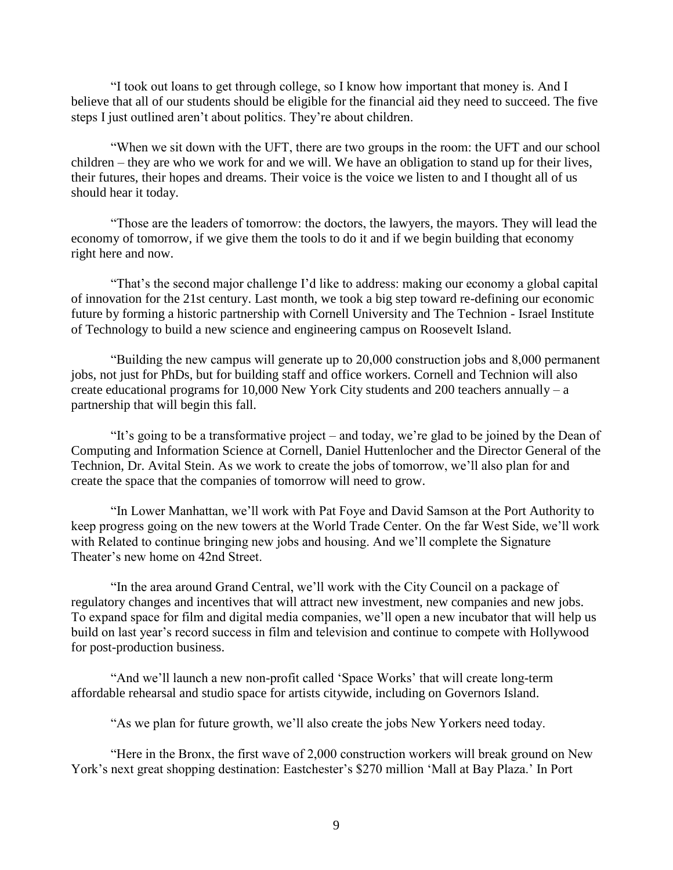"I took out loans to get through college, so I know how important that money is. And I believe that all of our students should be eligible for the financial aid they need to succeed. The five steps I just outlined aren't about politics. They're about children.

"When we sit down with the UFT, there are two groups in the room: the UFT and our school children – they are who we work for and we will. We have an obligation to stand up for their lives, their futures, their hopes and dreams. Their voice is the voice we listen to and I thought all of us should hear it today.

"Those are the leaders of tomorrow: the doctors, the lawyers, the mayors. They will lead the economy of tomorrow, if we give them the tools to do it and if we begin building that economy right here and now.

"That's the second major challenge I'd like to address: making our economy a global capital of innovation for the 21st century. Last month, we took a big step toward re-defining our economic future by forming a historic partnership with Cornell University and The Technion - Israel Institute of Technology to build a new science and engineering campus on Roosevelt Island.

"Building the new campus will generate up to 20,000 construction jobs and 8,000 permanent jobs, not just for PhDs, but for building staff and office workers. Cornell and Technion will also create educational programs for 10,000 New York City students and 200 teachers annually – a partnership that will begin this fall.

"It's going to be a transformative project – and today, we're glad to be joined by the Dean of Computing and Information Science at Cornell, Daniel Huttenlocher and the Director General of the Technion, Dr. Avital Stein. As we work to create the jobs of tomorrow, we'll also plan for and create the space that the companies of tomorrow will need to grow.

"In Lower Manhattan, we'll work with Pat Foye and David Samson at the Port Authority to keep progress going on the new towers at the World Trade Center. On the far West Side, we'll work with Related to continue bringing new jobs and housing. And we'll complete the Signature Theater's new home on 42nd Street.

"In the area around Grand Central, we'll work with the City Council on a package of regulatory changes and incentives that will attract new investment, new companies and new jobs. To expand space for film and digital media companies, we'll open a new incubator that will help us build on last year's record success in film and television and continue to compete with Hollywood for post-production business.

"And we'll launch a new non-profit called 'Space Works' that will create long-term affordable rehearsal and studio space for artists citywide, including on Governors Island.

"As we plan for future growth, we'll also create the jobs New Yorkers need today.

"Here in the Bronx, the first wave of 2,000 construction workers will break ground on New York's next great shopping destination: Eastchester's \$270 million 'Mall at Bay Plaza.' In Port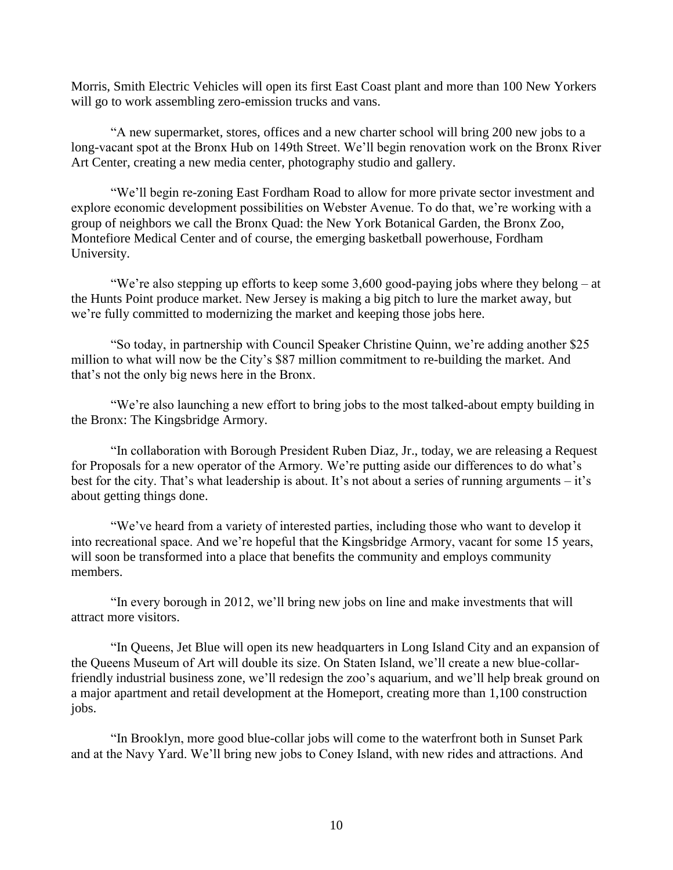Morris, Smith Electric Vehicles will open its first East Coast plant and more than 100 New Yorkers will go to work assembling zero-emission trucks and vans.

"A new supermarket, stores, offices and a new charter school will bring 200 new jobs to a long-vacant spot at the Bronx Hub on 149th Street. We'll begin renovation work on the Bronx River Art Center, creating a new media center, photography studio and gallery.

"We'll begin re-zoning East Fordham Road to allow for more private sector investment and explore economic development possibilities on Webster Avenue. To do that, we're working with a group of neighbors we call the Bronx Quad: the New York Botanical Garden, the Bronx Zoo, Montefiore Medical Center and of course, the emerging basketball powerhouse, Fordham University.

"We're also stepping up efforts to keep some 3,600 good-paying jobs where they belong – at the Hunts Point produce market. New Jersey is making a big pitch to lure the market away, but we're fully committed to modernizing the market and keeping those jobs here.

"So today, in partnership with Council Speaker Christine Quinn, we're adding another \$25 million to what will now be the City's \$87 million commitment to re-building the market. And that's not the only big news here in the Bronx.

"We're also launching a new effort to bring jobs to the most talked-about empty building in the Bronx: The Kingsbridge Armory.

"In collaboration with Borough President Ruben Diaz, Jr., today, we are releasing a Request for Proposals for a new operator of the Armory. We're putting aside our differences to do what's best for the city. That's what leadership is about. It's not about a series of running arguments – it's about getting things done.

"We've heard from a variety of interested parties, including those who want to develop it into recreational space. And we're hopeful that the Kingsbridge Armory, vacant for some 15 years, will soon be transformed into a place that benefits the community and employs community members.

"In every borough in 2012, we'll bring new jobs on line and make investments that will attract more visitors.

"In Queens, Jet Blue will open its new headquarters in Long Island City and an expansion of the Queens Museum of Art will double its size. On Staten Island, we'll create a new blue-collarfriendly industrial business zone, we'll redesign the zoo's aquarium, and we'll help break ground on a major apartment and retail development at the Homeport, creating more than 1,100 construction jobs.

"In Brooklyn, more good blue-collar jobs will come to the waterfront both in Sunset Park and at the Navy Yard. We'll bring new jobs to Coney Island, with new rides and attractions. And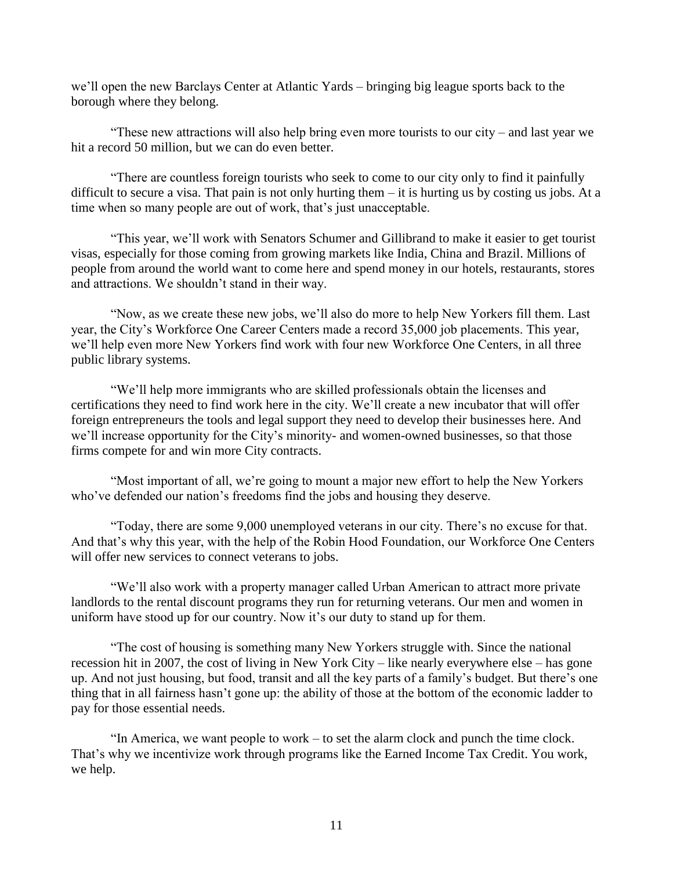we'll open the new Barclays Center at Atlantic Yards – bringing big league sports back to the borough where they belong.

"These new attractions will also help bring even more tourists to our city – and last year we hit a record 50 million, but we can do even better.

"There are countless foreign tourists who seek to come to our city only to find it painfully difficult to secure a visa. That pain is not only hurting them – it is hurting us by costing us jobs. At a time when so many people are out of work, that's just unacceptable.

"This year, we'll work with Senators Schumer and Gillibrand to make it easier to get tourist visas, especially for those coming from growing markets like India, China and Brazil. Millions of people from around the world want to come here and spend money in our hotels, restaurants, stores and attractions. We shouldn't stand in their way.

"Now, as we create these new jobs, we'll also do more to help New Yorkers fill them. Last year, the City's Workforce One Career Centers made a record 35,000 job placements. This year, we'll help even more New Yorkers find work with four new Workforce One Centers, in all three public library systems.

"We'll help more immigrants who are skilled professionals obtain the licenses and certifications they need to find work here in the city. We'll create a new incubator that will offer foreign entrepreneurs the tools and legal support they need to develop their businesses here. And we'll increase opportunity for the City's minority- and women-owned businesses, so that those firms compete for and win more City contracts.

"Most important of all, we're going to mount a major new effort to help the New Yorkers who've defended our nation's freedoms find the jobs and housing they deserve.

"Today, there are some 9,000 unemployed veterans in our city. There's no excuse for that. And that's why this year, with the help of the Robin Hood Foundation, our Workforce One Centers will offer new services to connect veterans to jobs.

"We'll also work with a property manager called Urban American to attract more private landlords to the rental discount programs they run for returning veterans. Our men and women in uniform have stood up for our country. Now it's our duty to stand up for them.

"The cost of housing is something many New Yorkers struggle with. Since the national recession hit in 2007, the cost of living in New York City – like nearly everywhere else – has gone up. And not just housing, but food, transit and all the key parts of a family's budget. But there's one thing that in all fairness hasn't gone up: the ability of those at the bottom of the economic ladder to pay for those essential needs.

"In America, we want people to work – to set the alarm clock and punch the time clock. That's why we incentivize work through programs like the Earned Income Tax Credit. You work, we help.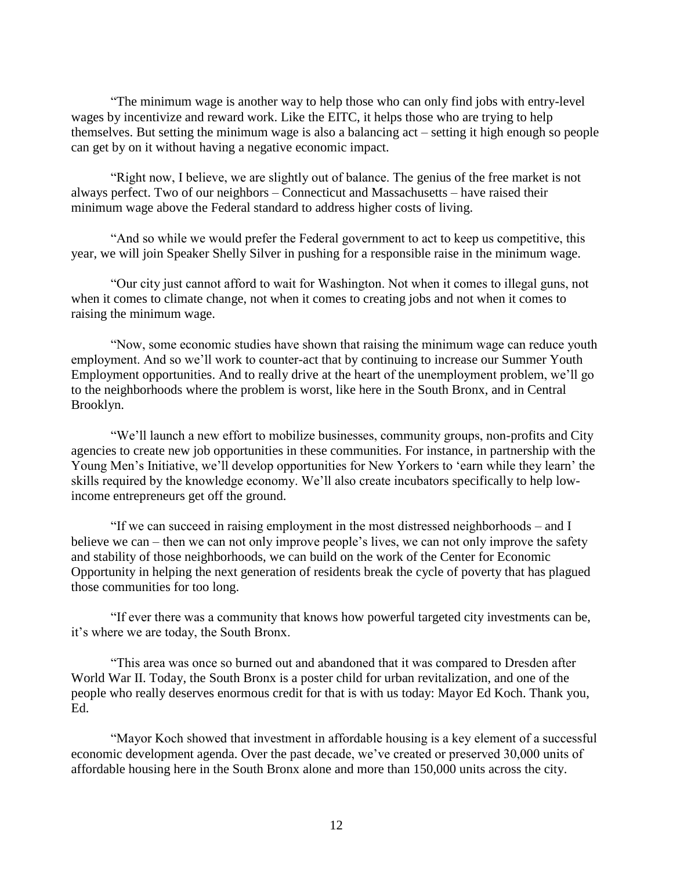"The minimum wage is another way to help those who can only find jobs with entry-level wages by incentivize and reward work. Like the EITC, it helps those who are trying to help themselves. But setting the minimum wage is also a balancing act – setting it high enough so people can get by on it without having a negative economic impact.

"Right now, I believe, we are slightly out of balance. The genius of the free market is not always perfect. Two of our neighbors – Connecticut and Massachusetts – have raised their minimum wage above the Federal standard to address higher costs of living.

"And so while we would prefer the Federal government to act to keep us competitive, this year, we will join Speaker Shelly Silver in pushing for a responsible raise in the minimum wage.

"Our city just cannot afford to wait for Washington. Not when it comes to illegal guns, not when it comes to climate change, not when it comes to creating jobs and not when it comes to raising the minimum wage.

"Now, some economic studies have shown that raising the minimum wage can reduce youth employment. And so we'll work to counter-act that by continuing to increase our Summer Youth Employment opportunities. And to really drive at the heart of the unemployment problem, we'll go to the neighborhoods where the problem is worst, like here in the South Bronx, and in Central Brooklyn.

"We'll launch a new effort to mobilize businesses, community groups, non-profits and City agencies to create new job opportunities in these communities. For instance, in partnership with the Young Men's Initiative, we'll develop opportunities for New Yorkers to 'earn while they learn' the skills required by the knowledge economy. We'll also create incubators specifically to help lowincome entrepreneurs get off the ground.

"If we can succeed in raising employment in the most distressed neighborhoods – and I believe we can – then we can not only improve people's lives, we can not only improve the safety and stability of those neighborhoods, we can build on the work of the Center for Economic Opportunity in helping the next generation of residents break the cycle of poverty that has plagued those communities for too long.

"If ever there was a community that knows how powerful targeted city investments can be, it's where we are today, the South Bronx.

"This area was once so burned out and abandoned that it was compared to Dresden after World War II. Today, the South Bronx is a poster child for urban revitalization, and one of the people who really deserves enormous credit for that is with us today: Mayor Ed Koch. Thank you, Ed.

"Mayor Koch showed that investment in affordable housing is a key element of a successful economic development agenda. Over the past decade, we've created or preserved 30,000 units of affordable housing here in the South Bronx alone and more than 150,000 units across the city.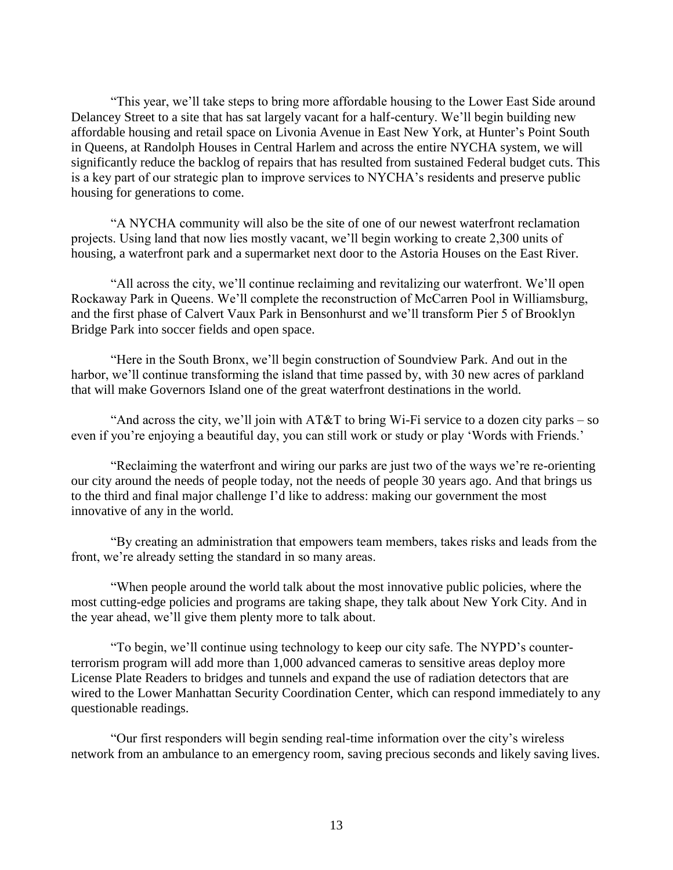"This year, we'll take steps to bring more affordable housing to the Lower East Side around Delancey Street to a site that has sat largely vacant for a half-century. We'll begin building new affordable housing and retail space on Livonia Avenue in East New York, at Hunter's Point South in Queens, at Randolph Houses in Central Harlem and across the entire NYCHA system, we will significantly reduce the backlog of repairs that has resulted from sustained Federal budget cuts. This is a key part of our strategic plan to improve services to NYCHA's residents and preserve public housing for generations to come.

"A NYCHA community will also be the site of one of our newest waterfront reclamation projects. Using land that now lies mostly vacant, we'll begin working to create 2,300 units of housing, a waterfront park and a supermarket next door to the Astoria Houses on the East River.

"All across the city, we'll continue reclaiming and revitalizing our waterfront. We'll open Rockaway Park in Queens. We'll complete the reconstruction of McCarren Pool in Williamsburg, and the first phase of Calvert Vaux Park in Bensonhurst and we'll transform Pier 5 of Brooklyn Bridge Park into soccer fields and open space.

"Here in the South Bronx, we'll begin construction of Soundview Park. And out in the harbor, we'll continue transforming the island that time passed by, with 30 new acres of parkland that will make Governors Island one of the great waterfront destinations in the world.

"And across the city, we'll join with  $AT&T$  to bring Wi-Fi service to a dozen city parks – so even if you're enjoying a beautiful day, you can still work or study or play 'Words with Friends.'

"Reclaiming the waterfront and wiring our parks are just two of the ways we're re-orienting our city around the needs of people today, not the needs of people 30 years ago. And that brings us to the third and final major challenge I'd like to address: making our government the most innovative of any in the world.

"By creating an administration that empowers team members, takes risks and leads from the front, we're already setting the standard in so many areas.

"When people around the world talk about the most innovative public policies, where the most cutting-edge policies and programs are taking shape, they talk about New York City. And in the year ahead, we'll give them plenty more to talk about.

"To begin, we'll continue using technology to keep our city safe. The NYPD's counterterrorism program will add more than 1,000 advanced cameras to sensitive areas deploy more License Plate Readers to bridges and tunnels and expand the use of radiation detectors that are wired to the Lower Manhattan Security Coordination Center, which can respond immediately to any questionable readings.

"Our first responders will begin sending real-time information over the city's wireless network from an ambulance to an emergency room, saving precious seconds and likely saving lives.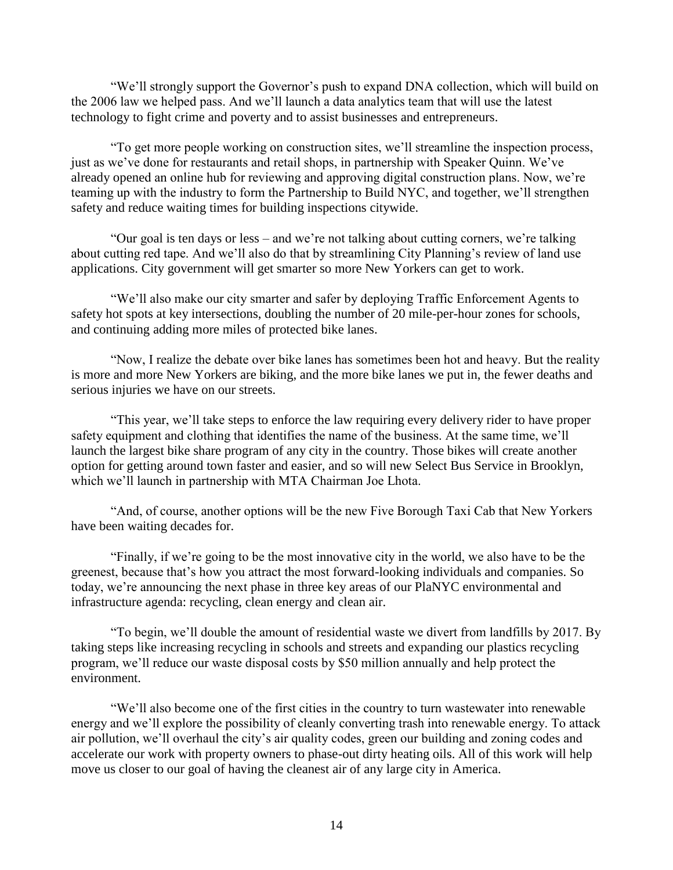"We'll strongly support the Governor's push to expand DNA collection, which will build on the 2006 law we helped pass. And we'll launch a data analytics team that will use the latest technology to fight crime and poverty and to assist businesses and entrepreneurs.

"To get more people working on construction sites, we'll streamline the inspection process, just as we've done for restaurants and retail shops, in partnership with Speaker Quinn. We've already opened an online hub for reviewing and approving digital construction plans. Now, we're teaming up with the industry to form the Partnership to Build NYC, and together, we'll strengthen safety and reduce waiting times for building inspections citywide.

"Our goal is ten days or less – and we're not talking about cutting corners, we're talking about cutting red tape. And we'll also do that by streamlining City Planning's review of land use applications. City government will get smarter so more New Yorkers can get to work.

"We'll also make our city smarter and safer by deploying Traffic Enforcement Agents to safety hot spots at key intersections, doubling the number of 20 mile-per-hour zones for schools, and continuing adding more miles of protected bike lanes.

"Now, I realize the debate over bike lanes has sometimes been hot and heavy. But the reality is more and more New Yorkers are biking, and the more bike lanes we put in, the fewer deaths and serious injuries we have on our streets.

"This year, we'll take steps to enforce the law requiring every delivery rider to have proper safety equipment and clothing that identifies the name of the business. At the same time, we'll launch the largest bike share program of any city in the country. Those bikes will create another option for getting around town faster and easier, and so will new Select Bus Service in Brooklyn, which we'll launch in partnership with MTA Chairman Joe Lhota.

"And, of course, another options will be the new Five Borough Taxi Cab that New Yorkers have been waiting decades for.

"Finally, if we're going to be the most innovative city in the world, we also have to be the greenest, because that's how you attract the most forward-looking individuals and companies. So today, we're announcing the next phase in three key areas of our PlaNYC environmental and infrastructure agenda: recycling, clean energy and clean air.

"To begin, we'll double the amount of residential waste we divert from landfills by 2017. By taking steps like increasing recycling in schools and streets and expanding our plastics recycling program, we'll reduce our waste disposal costs by \$50 million annually and help protect the environment.

"We'll also become one of the first cities in the country to turn wastewater into renewable energy and we'll explore the possibility of cleanly converting trash into renewable energy. To attack air pollution, we'll overhaul the city's air quality codes, green our building and zoning codes and accelerate our work with property owners to phase-out dirty heating oils. All of this work will help move us closer to our goal of having the cleanest air of any large city in America.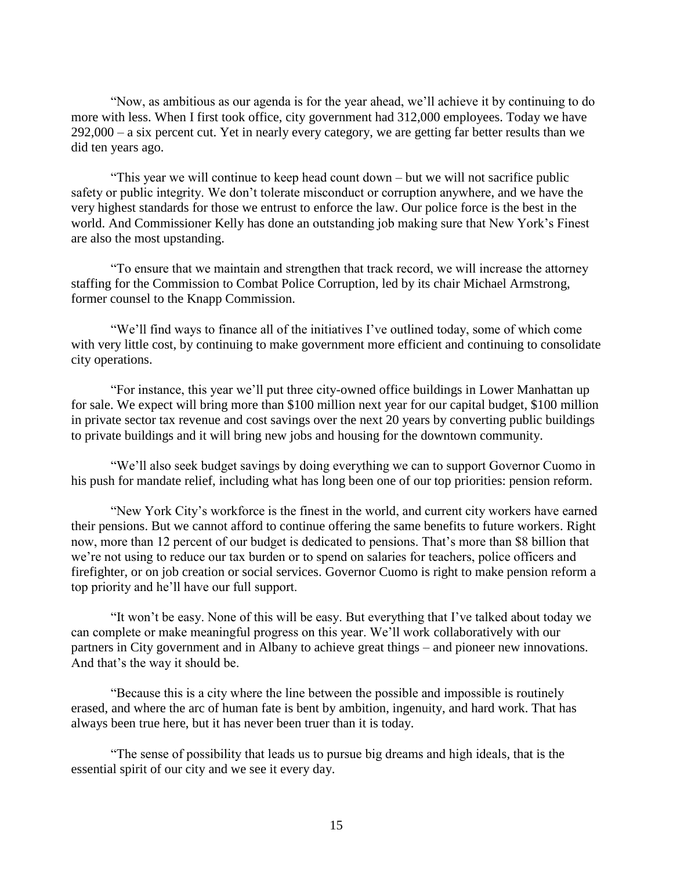"Now, as ambitious as our agenda is for the year ahead, we'll achieve it by continuing to do more with less. When I first took office, city government had 312,000 employees. Today we have 292,000 – a six percent cut. Yet in nearly every category, we are getting far better results than we did ten years ago.

"This year we will continue to keep head count down – but we will not sacrifice public safety or public integrity. We don't tolerate misconduct or corruption anywhere, and we have the very highest standards for those we entrust to enforce the law. Our police force is the best in the world. And Commissioner Kelly has done an outstanding job making sure that New York's Finest are also the most upstanding.

"To ensure that we maintain and strengthen that track record, we will increase the attorney staffing for the Commission to Combat Police Corruption, led by its chair Michael Armstrong, former counsel to the Knapp Commission.

"We'll find ways to finance all of the initiatives I've outlined today, some of which come with very little cost, by continuing to make government more efficient and continuing to consolidate city operations.

"For instance, this year we'll put three city-owned office buildings in Lower Manhattan up for sale. We expect will bring more than \$100 million next year for our capital budget, \$100 million in private sector tax revenue and cost savings over the next 20 years by converting public buildings to private buildings and it will bring new jobs and housing for the downtown community.

"We'll also seek budget savings by doing everything we can to support Governor Cuomo in his push for mandate relief, including what has long been one of our top priorities: pension reform.

"New York City's workforce is the finest in the world, and current city workers have earned their pensions. But we cannot afford to continue offering the same benefits to future workers. Right now, more than 12 percent of our budget is dedicated to pensions. That's more than \$8 billion that we're not using to reduce our tax burden or to spend on salaries for teachers, police officers and firefighter, or on job creation or social services. Governor Cuomo is right to make pension reform a top priority and he'll have our full support.

"It won't be easy. None of this will be easy. But everything that I've talked about today we can complete or make meaningful progress on this year. We'll work collaboratively with our partners in City government and in Albany to achieve great things – and pioneer new innovations. And that's the way it should be.

"Because this is a city where the line between the possible and impossible is routinely erased, and where the arc of human fate is bent by ambition, ingenuity, and hard work. That has always been true here, but it has never been truer than it is today.

"The sense of possibility that leads us to pursue big dreams and high ideals, that is the essential spirit of our city and we see it every day.